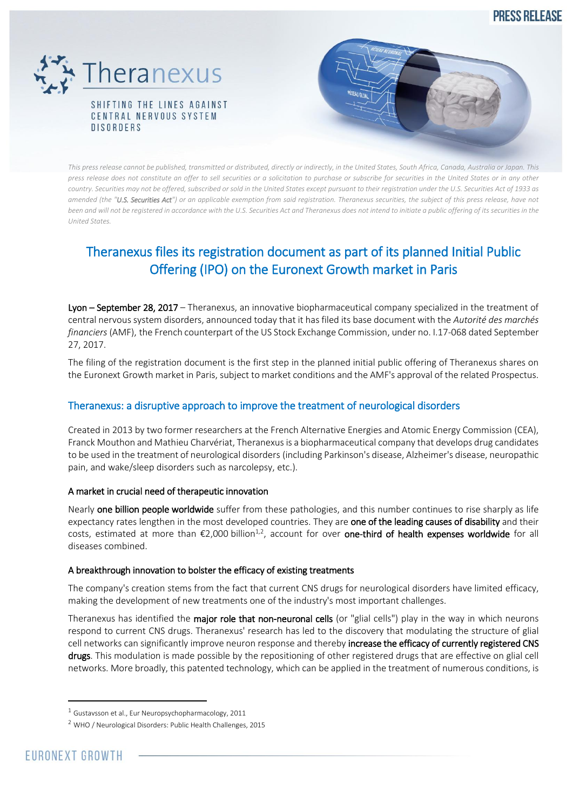**PRESS RELEASE** 





*This press release cannot be published, transmitted or distributed, directly or indirectly, in the United States, South Africa, Canada, Australia or Japan. This press release does not constitute an offer to sell securities or a solicitation to purchase or subscribe for securities in the United States or in any other country. Securities may not be offered, subscribed or sold in the United States except pursuant to their registration under the U.S. Securities Act of 1933 as amended (the "U.S. Securities Act") or an applicable exemption from said registration. Theranexus securities, the subject of this press release, have not been and will not be registered in accordance with the U.S. Securities Act and Theranexus does not intend to initiate a public offering of its securities in the United States.*

# Theranexus files its registration document as part of its planned Initial Public Offering (IPO) on the Euronext Growth market in Paris

Lyon – September 28, 2017 – Theranexus, an innovative biopharmaceutical company specialized in the treatment of central nervous system disorders, announced today that it has filed its base document with the *Autorité des marchés financiers* (AMF), the French counterpart of the US Stock Exchange Commission, under no. I.17-068 dated September 27, 2017.

The filing of the registration document is the first step in the planned initial public offering of Theranexus shares on the Euronext Growth market in Paris, subject to market conditions and the AMF's approval of the related Prospectus.

## Theranexus: a disruptive approach to improve the treatment of neurological disorders

Created in 2013 by two former researchers at the French Alternative Energies and Atomic Energy Commission (CEA), Franck Mouthon and Mathieu Charvériat, Theranexus is a biopharmaceutical company that develops drug candidates to be used in the treatment of neurological disorders (including Parkinson's disease, Alzheimer's disease, neuropathic pain, and wake/sleep disorders such as narcolepsy, etc.).

## A market in crucial need of therapeutic innovation

Nearly one billion people worldwide suffer from these pathologies, and this number continues to rise sharply as life expectancy rates lengthen in the most developed countries. They are one of the leading causes of disability and their costs, estimated at more than €2,000 billion<sup>1,2</sup>, account for over **one-third of health expenses worldwide** for all diseases combined.

## A breakthrough innovation to bolster the efficacy of existing treatments

The company's creation stems from the fact that current CNS drugs for neurological disorders have limited efficacy, making the development of new treatments one of the industry's most important challenges.

Theranexus has identified the major role that non-neuronal cells (or "glial cells") play in the way in which neurons respond to current CNS drugs. Theranexus' research has led to the discovery that modulating the structure of glial cell networks can significantly improve neuron response and thereby increase the efficacy of currently registered CNS drugs. This modulation is made possible by the repositioning of other registered drugs that are effective on glial cell networks. More broadly, this patented technology, which can be applied in the treatment of numerous conditions, is

**.** 

 $1$  Gustavsson et al., Eur Neuropsychopharmacology, 2011

<sup>2</sup> WHO / Neurological Disorders: Public Health Challenges, 2015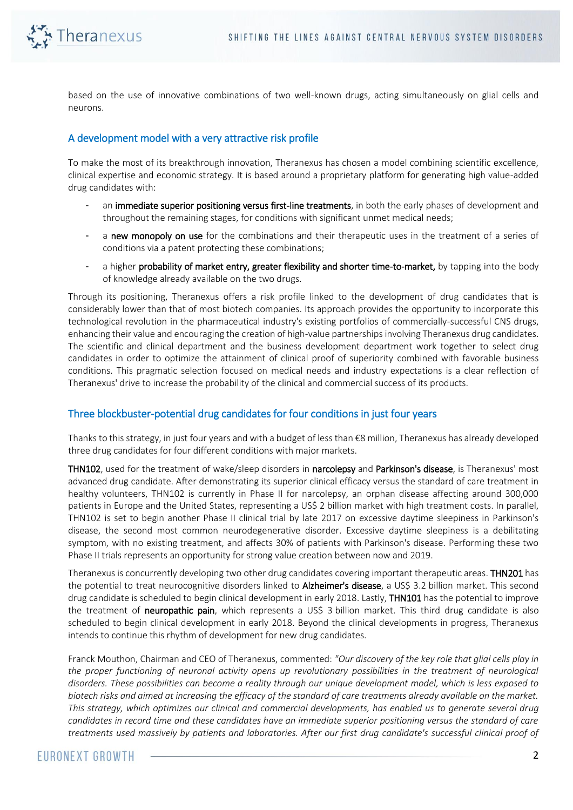

based on the use of innovative combinations of two well-known drugs, acting simultaneously on glial cells and neurons.

## A development model with a very attractive risk profile

To make the most of its breakthrough innovation, Theranexus has chosen a model combining scientific excellence, clinical expertise and economic strategy. It is based around a proprietary platform for generating high value-added drug candidates with:

- an immediate superior positioning versus first-line treatments, in both the early phases of development and throughout the remaining stages, for conditions with significant unmet medical needs;
- a new monopoly on use for the combinations and their therapeutic uses in the treatment of a series of conditions via a patent protecting these combinations;
- a higher probability of market entry, greater flexibility and shorter time-to-market, by tapping into the body of knowledge already available on the two drugs.

Through its positioning, Theranexus offers a risk profile linked to the development of drug candidates that is considerably lower than that of most biotech companies. Its approach provides the opportunity to incorporate this technological revolution in the pharmaceutical industry's existing portfolios of commercially-successful CNS drugs, enhancing their value and encouraging the creation of high-value partnerships involving Theranexus drug candidates. The scientific and clinical department and the business development department work together to select drug candidates in order to optimize the attainment of clinical proof of superiority combined with favorable business conditions. This pragmatic selection focused on medical needs and industry expectations is a clear reflection of Theranexus' drive to increase the probability of the clinical and commercial success of its products.

## Three blockbuster-potential drug candidates for four conditions in just four years

Thanks to this strategy, in just four years and with a budget of less than €8 million, Theranexus has already developed three drug candidates for four different conditions with major markets.

THN102, used for the treatment of wake/sleep disorders in narcolepsy and Parkinson's disease, is Theranexus' most advanced drug candidate. After demonstrating its superior clinical efficacy versus the standard of care treatment in healthy volunteers, THN102 is currently in Phase II for narcolepsy, an orphan disease affecting around 300,000 patients in Europe and the United States, representing a US\$ 2 billion market with high treatment costs. In parallel, THN102 is set to begin another Phase II clinical trial by late 2017 on excessive daytime sleepiness in Parkinson's disease, the second most common neurodegenerative disorder. Excessive daytime sleepiness is a debilitating symptom, with no existing treatment, and affects 30% of patients with Parkinson's disease. Performing these two Phase II trials represents an opportunity for strong value creation between now and 2019.

Theranexus is concurrently developing two other drug candidates covering important therapeutic areas. THN201 has the potential to treat neurocognitive disorders linked to Alzheimer's disease, a US\$ 3.2 billion market. This second drug candidate is scheduled to begin clinical development in early 2018. Lastly, THN101 has the potential to improve the treatment of neuropathic pain, which represents a US\$ 3 billion market. This third drug candidate is also scheduled to begin clinical development in early 2018. Beyond the clinical developments in progress, Theranexus intends to continue this rhythm of development for new drug candidates.

Franck Mouthon, Chairman and CEO of Theranexus, commented: *"Our discovery of the key role that glial cells play in the proper functioning of neuronal activity opens up revolutionary possibilities in the treatment of neurological disorders. These possibilities can become a reality through our unique development model, which is less exposed to biotech risks and aimed at increasing the efficacy of the standard of care treatments already available on the market. This strategy, which optimizes our clinical and commercial developments, has enabled us to generate several drug candidates in record time and these candidates have an immediate superior positioning versus the standard of care treatments used massively by patients and laboratories. After our first drug candidate's successful clinical proof of*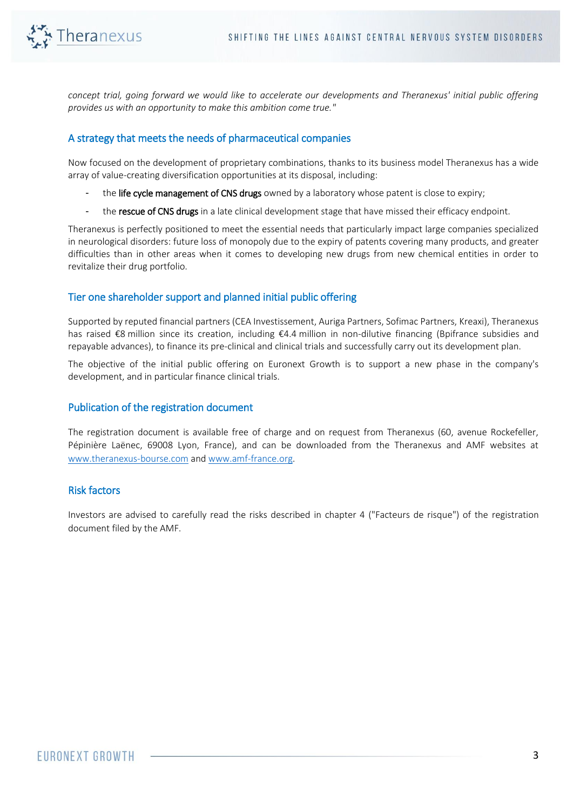

*concept trial, going forward we would like to accelerate our developments and Theranexus' initial public offering provides us with an opportunity to make this ambition come true."*

## A strategy that meets the needs of pharmaceutical companies

Now focused on the development of proprietary combinations, thanks to its business model Theranexus has a wide array of value-creating diversification opportunities at its disposal, including:

- the life cycle management of CNS drugs owned by a laboratory whose patent is close to expiry;
- the rescue of CNS drugs in a late clinical development stage that have missed their efficacy endpoint.

Theranexus is perfectly positioned to meet the essential needs that particularly impact large companies specialized in neurological disorders: future loss of monopoly due to the expiry of patents covering many products, and greater difficulties than in other areas when it comes to developing new drugs from new chemical entities in order to revitalize their drug portfolio.

#### Tier one shareholder support and planned initial public offering

Supported by reputed financial partners (CEA Investissement, Auriga Partners, Sofimac Partners, Kreaxi), Theranexus has raised €8 million since its creation, including €4.4 million in non-dilutive financing (Bpifrance subsidies and repayable advances), to finance its pre-clinical and clinical trials and successfully carry out its development plan.

The objective of the initial public offering on Euronext Growth is to support a new phase in the company's development, and in particular finance clinical trials.

#### Publication of the registration document

The registration document is available free of charge and on request from Theranexus (60, avenue Rockefeller, Pépinière Laënec, 69008 Lyon, France), and can be downloaded from the Theranexus and AMF websites at [www.theranexus-bourse.com](http://www.theranexus-bourse.com/) an[d www.amf-france.org.](http://www.amf-france.org/)

#### Risk factors

Investors are advised to carefully read the risks described in chapter 4 ("Facteurs de risque") of the registration document filed by the AMF.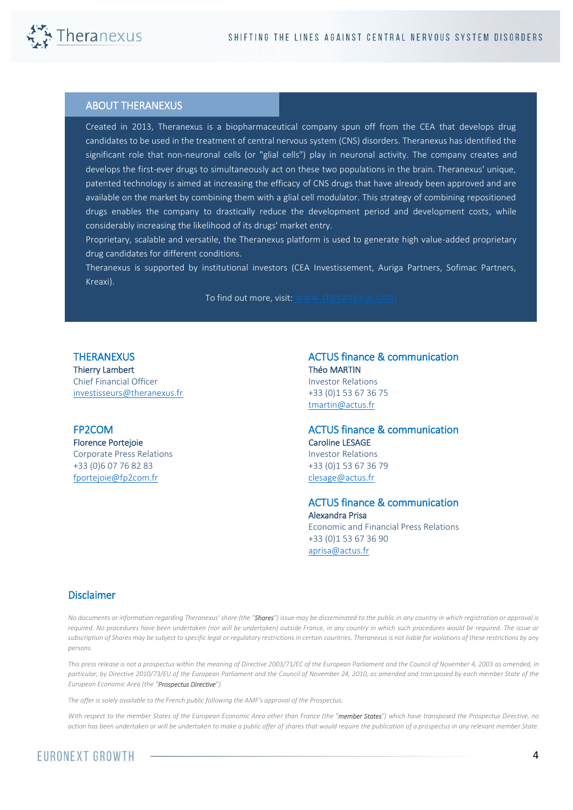

۰

#### ABOUT THERANEXUS

Created in 2013, Theranexus is a biopharmaceutical company spun off from the CEA that develops drug candidates to be used in the treatment of central nervous system (CNS) disorders. Theranexus has identified the significant role that non-neuronal cells (or "glial cells") play in neuronal activity. The company creates and develops the first-ever drugs to simultaneously act on these two populations in the brain. Theranexus' unique, patented technology is aimed at increasing the efficacy of CNS drugs that have already been approved and are available on the market by combining them with a glial cell modulator. This strategy of combining repositioned drugs enables the company to drastically reduce the development period and development costs, while considerably increasing the likelihood of its drugs' market entry.

Proprietary, scalable and versatile, the Theranexus platform is used to generate high value-added proprietary drug candidates for different conditions.

Theranexus is supported by institutional investors (CEA Investissement, Auriga Partners, Sofimac Partners, Kreaxi).

To find out more, visit: [www.theranexus.com](http://www.theranexus.com/)

#### **THERANEXUS**

Thierry Lambert Chief Financial Officer [investisseurs@theranexus.fr](mailto:investisseurs@theranexus.fr) 

## FP2COM

Florence Portejoie Corporate Press Relations +33 (0)6 07 76 82 83 [fportejoie@fp2com.fr](mailto:fportejoie@fp2com.fr)

ACTUS finance & communication Théo MARTIN Investor Relations +33 (0)1 53 67 36 75 [tmartin@actus.fr](mailto:tmartin@actus.fr)

#### ACTUS finance & communication Caroline LESAGE Investor Relations +33 (0)1 53 67 36 79 [clesage@actus.fr](mailto:clesage@actus.fr)

 ACTUS finance & communication Alexandra Prisa Economic and Financial Press Relations +33 (0)1 53 67 36 90 [aprisa@actus.fr](mailto:aprisa@actus.fr)

#### Disclaimer

*No documents or information regarding Theranexus' share (the "Shares") issue may be disseminated to the public in any country in which registration or approval is required. No procedures have been undertaken (nor will be undertaken) outside France, in any country in which such procedures would be required. The issue or subscription of Shares may be subject to specific legal or regulatory restrictions in certain countries. Theranexus is not liable for violations of these restrictions by any persons.*

*This press release is not a prospectus within the meaning of Directive 2003/71/EC of the European Parliament and the Council of November 4, 2003 as amended, in particular, by Directive 2010/73/EU of the European Parliament and the Council of November 24, 2010, as amended and transposed by each member State of the European Economic Area (the "Prospectus Directive").* 

*The offer is solely available to the French public following the AMF's approval of the Prospectus.*

*With respect to the member States of the European Economic Area other than France (the "member States") which have transposed the Prospectus Directive, no action has been undertaken or will be undertaken to make a public offer of shares that would require the publication of a prospectus in any relevant member State.*